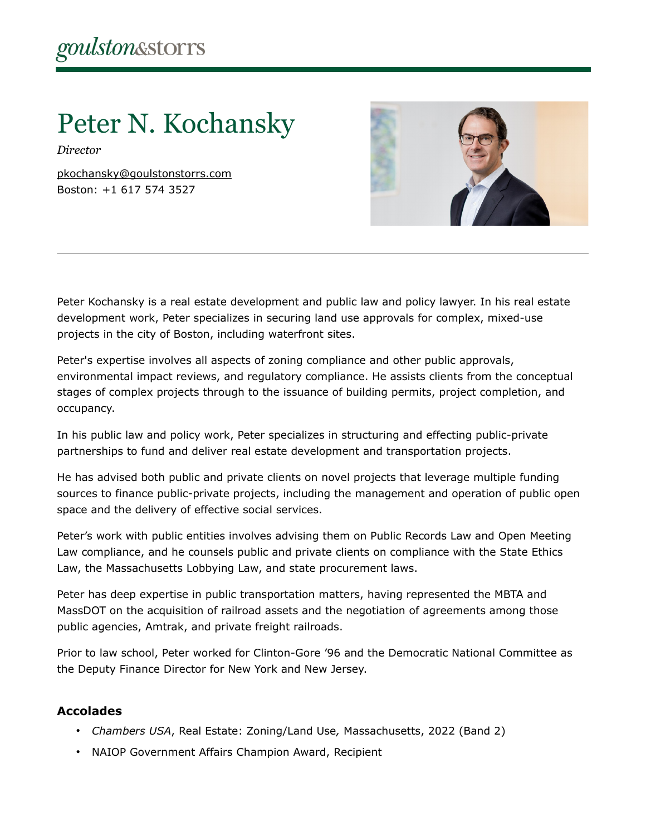# Peter N. Kochansky

*Director*

[pkochansky@goulstonstorrs.com](mailto:pkochansky@goulstonstorrs.com) Boston: +1 617 574 3527



Peter Kochansky is a real estate development and public law and policy lawyer. In his real estate development work, Peter specializes in securing land use approvals for complex, mixed-use projects in the city of Boston, including waterfront sites.

Peter's expertise involves all aspects of zoning compliance and other public approvals, environmental impact reviews, and regulatory compliance. He assists clients from the conceptual stages of complex projects through to the issuance of building permits, project completion, and occupancy.

In his public law and policy work, Peter specializes in structuring and effecting public-private partnerships to fund and deliver real estate development and transportation projects.

He has advised both public and private clients on novel projects that leverage multiple funding sources to finance public-private projects, including the management and operation of public open space and the delivery of effective social services.

Peter's work with public entities involves advising them on Public Records Law and Open Meeting Law compliance, and he counsels public and private clients on compliance with the State Ethics Law, the Massachusetts Lobbying Law, and state procurement laws.

Peter has deep expertise in public transportation matters, having represented the MBTA and MassDOT on the acquisition of railroad assets and the negotiation of agreements among those public agencies, Amtrak, and private freight railroads.

Prior to law school, Peter worked for Clinton-Gore '96 and the Democratic National Committee as the Deputy Finance Director for New York and New Jersey.

# **Accolades**

- *Chambers USA*, Real Estate: Zoning/Land Use*,* Massachusetts, 2022 (Band 2)
- NAIOP Government Affairs Champion Award, Recipient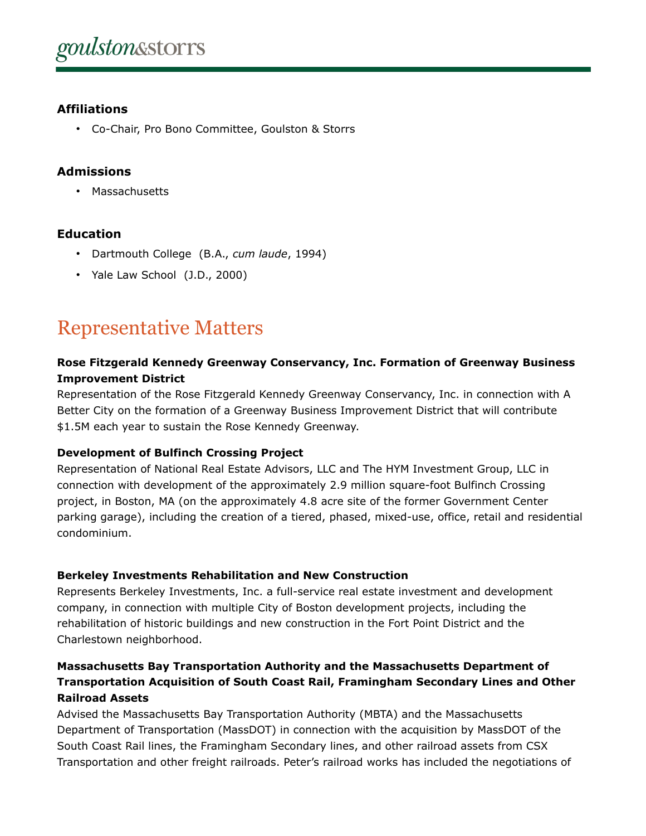# **Affiliations**

• Co-Chair, Pro Bono Committee, Goulston & Storrs

## **Admissions**

• Massachusetts

# **Education**

- Dartmouth College (B.A., *cum laude*, 1994)
- Yale Law School (J.D., 2000)

# Representative Matters

## **Rose Fitzgerald Kennedy Greenway Conservancy, Inc. Formation of Greenway Business Improvement District**

Representation of the Rose Fitzgerald Kennedy Greenway Conservancy, Inc. in connection with A Better City on the formation of a Greenway Business Improvement District that will contribute \$1.5M each year to sustain the Rose Kennedy Greenway.

### **Development of Bulfinch Crossing Project**

Representation of National Real Estate Advisors, LLC and The HYM Investment Group, LLC in connection with development of the approximately 2.9 million square-foot Bulfinch Crossing project, in Boston, MA (on the approximately 4.8 acre site of the former Government Center parking garage), including the creation of a tiered, phased, mixed-use, office, retail and residential condominium.

#### **Berkeley Investments Rehabilitation and New Construction**

Represents Berkeley Investments, Inc. a full-service real estate investment and development company, in connection with multiple City of Boston development projects, including the rehabilitation of historic buildings and new construction in the Fort Point District and the Charlestown neighborhood.

# **Massachusetts Bay Transportation Authority and the Massachusetts Department of Transportation Acquisition of South Coast Rail, Framingham Secondary Lines and Other Railroad Assets**

Advised the Massachusetts Bay Transportation Authority (MBTA) and the Massachusetts Department of Transportation (MassDOT) in connection with the acquisition by MassDOT of the South Coast Rail lines, the Framingham Secondary lines, and other railroad assets from CSX Transportation and other freight railroads. Peter's railroad works has included the negotiations of